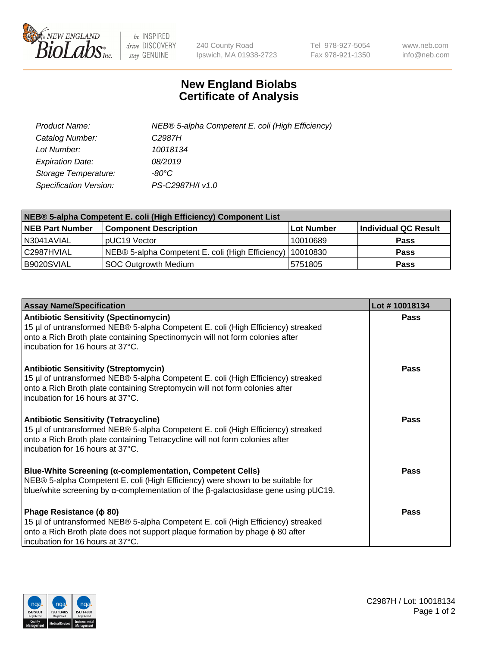

 $be$  INSPIRED drive DISCOVERY stay GENUINE

240 County Road Ipswich, MA 01938-2723 Tel 978-927-5054 Fax 978-921-1350 www.neb.com info@neb.com

## **New England Biolabs Certificate of Analysis**

| Product Name:           | NEB® 5-alpha Competent E. coli (High Efficiency) |
|-------------------------|--------------------------------------------------|
| Catalog Number:         | C <sub>2987</sub> H                              |
| Lot Number:             | 10018134                                         |
| <b>Expiration Date:</b> | 08/2019                                          |
| Storage Temperature:    | -80°C                                            |
| Specification Version:  | PS-C2987H/I v1.0                                 |

| NEB® 5-alpha Competent E. coli (High Efficiency) Component List |                                                  |            |                      |  |
|-----------------------------------------------------------------|--------------------------------------------------|------------|----------------------|--|
| <b>NEB Part Number</b>                                          | <b>Component Description</b>                     | Lot Number | Individual QC Result |  |
| N3041AVIAL                                                      | pUC19 Vector                                     | 10010689   | <b>Pass</b>          |  |
| C2987HVIAL                                                      | NEB® 5-alpha Competent E. coli (High Efficiency) | 10010830   | <b>Pass</b>          |  |
| B9020SVIAL                                                      | SOC Outgrowth Medium                             | 5751805    | <b>Pass</b>          |  |

| <b>Assay Name/Specification</b>                                                                                                                                                                                                                          | Lot #10018134 |
|----------------------------------------------------------------------------------------------------------------------------------------------------------------------------------------------------------------------------------------------------------|---------------|
| <b>Antibiotic Sensitivity (Spectinomycin)</b><br>15 µl of untransformed NEB® 5-alpha Competent E. coli (High Efficiency) streaked<br>onto a Rich Broth plate containing Spectinomycin will not form colonies after<br>l incubation for 16 hours at 37°C. | Pass          |
| <b>Antibiotic Sensitivity (Streptomycin)</b><br>15 µl of untransformed NEB® 5-alpha Competent E. coli (High Efficiency) streaked<br>onto a Rich Broth plate containing Streptomycin will not form colonies after<br>incubation for 16 hours at 37°C.     | Pass          |
| <b>Antibiotic Sensitivity (Tetracycline)</b><br>15 µl of untransformed NEB® 5-alpha Competent E. coli (High Efficiency) streaked<br>onto a Rich Broth plate containing Tetracycline will not form colonies after<br>incubation for 16 hours at 37°C.     | Pass          |
| <b>Blue-White Screening (α-complementation, Competent Cells)</b><br>NEB® 5-alpha Competent E. coli (High Efficiency) were shown to be suitable for<br>blue/white screening by $\alpha$ -complementation of the $\beta$ -galactosidase gene using pUC19.  | Pass          |
| Phage Resistance ( $\phi$ 80)<br>15 µl of untransformed NEB® 5-alpha Competent E. coli (High Efficiency) streaked<br>onto a Rich Broth plate does not support plaque formation by phage φ 80 after<br>incubation for 16 hours at 37°C.                   | Pass          |